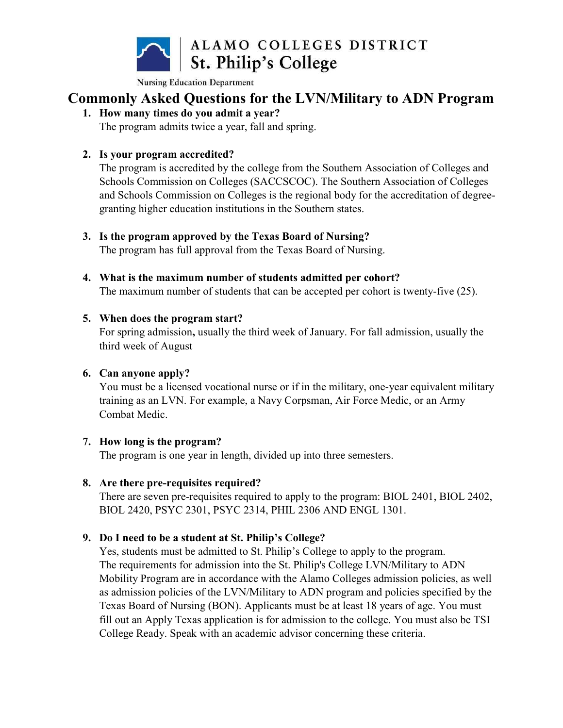

## Commonly Asked Questions for the LVN/Military to ADN Program

1. How many times do you admit a year?

The program admits twice a year, fall and spring.

### 2. Is your program accredited?

The program is accredited by the college from the Southern Association of Colleges and Schools Commission on Colleges (SACCSCOC). The Southern Association of Colleges and Schools Commission on Colleges is the regional body for the accreditation of degreegranting higher education institutions in the Southern states.

#### 3. Is the program approved by the Texas Board of Nursing?

The program has full approval from the Texas Board of Nursing.

4. What is the maximum number of students admitted per cohort? The maximum number of students that can be accepted per cohort is twenty-five (25).

#### 5. When does the program start?

For spring admission, usually the third week of January. For fall admission, usually the third week of August

#### 6. Can anyone apply?

You must be a licensed vocational nurse or if in the military, one-year equivalent military training as an LVN. For example, a Navy Corpsman, Air Force Medic, or an Army Combat Medic.

#### 7. How long is the program?

The program is one year in length, divided up into three semesters.

### 8. Are there pre-requisites required?

There are seven pre-requisites required to apply to the program: BIOL 2401, BIOL 2402, BIOL 2420, PSYC 2301, PSYC 2314, PHIL 2306 AND ENGL 1301.

### 9. Do I need to be a student at St. Philip's College?

Yes, students must be admitted to St. Philip's College to apply to the program. The requirements for admission into the St. Philip's College LVN/Military to ADN Mobility Program are in accordance with the Alamo Colleges admission policies, as well as admission policies of the LVN/Military to ADN program and policies specified by the Texas Board of Nursing (BON). Applicants must be at least 18 years of age. You must fill out an Apply Texas application is for admission to the college. You must also be TSI College Ready. Speak with an academic advisor concerning these criteria.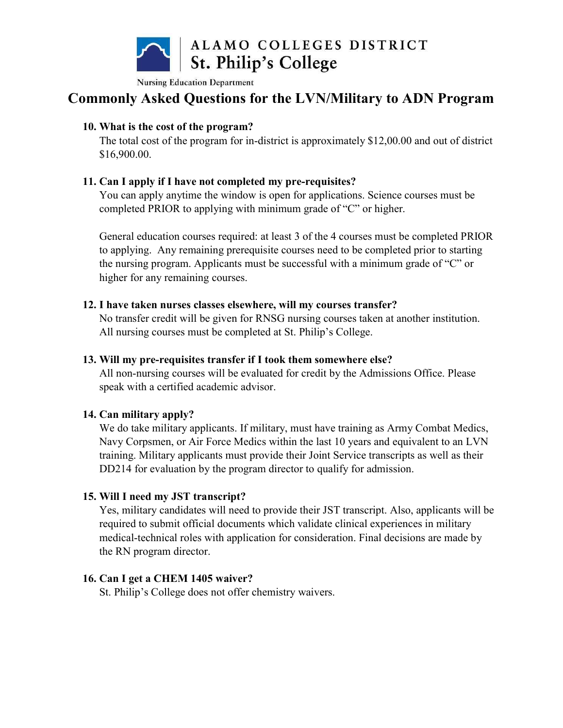

# Commonly Asked Questions for the LVN/Military to ADN Program

#### 10. What is the cost of the program?

The total cost of the program for in-district is approximately \$12,00.00 and out of district \$16,900.00.

#### 11. Can I apply if I have not completed my pre-requisites?

You can apply anytime the window is open for applications. Science courses must be completed PRIOR to applying with minimum grade of "C" or higher.

General education courses required: at least 3 of the 4 courses must be completed PRIOR to applying. Any remaining prerequisite courses need to be completed prior to starting the nursing program. Applicants must be successful with a minimum grade of "C" or higher for any remaining courses.

#### 12. I have taken nurses classes elsewhere, will my courses transfer?

No transfer credit will be given for RNSG nursing courses taken at another institution. All nursing courses must be completed at St. Philip's College.

#### 13. Will my pre-requisites transfer if I took them somewhere else?

All non-nursing courses will be evaluated for credit by the Admissions Office. Please speak with a certified academic advisor.

#### 14. Can military apply?

We do take military applicants. If military, must have training as Army Combat Medics, Navy Corpsmen, or Air Force Medics within the last 10 years and equivalent to an LVN training. Military applicants must provide their Joint Service transcripts as well as their DD214 for evaluation by the program director to qualify for admission.

#### 15. Will I need my JST transcript?

Yes, military candidates will need to provide their JST transcript. Also, applicants will be required to submit official documents which validate clinical experiences in military medical-technical roles with application for consideration. Final decisions are made by the RN program director.

#### 16. Can I get a CHEM 1405 waiver?

St. Philip's College does not offer chemistry waivers.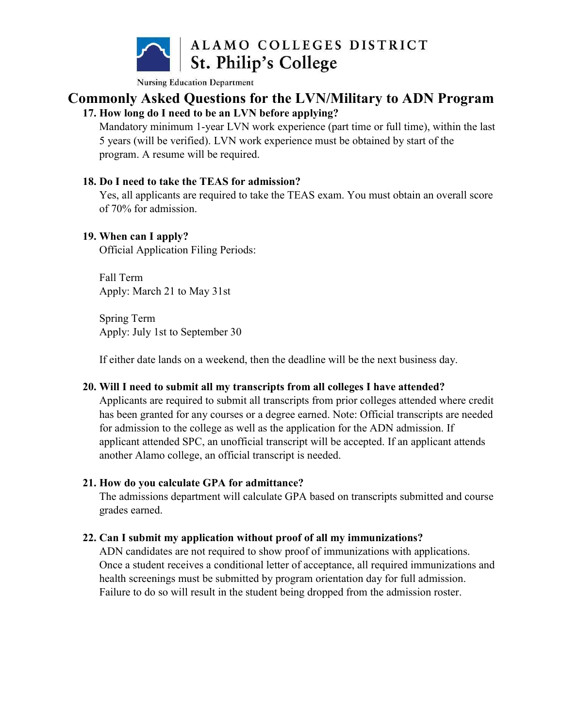

# Commonly Asked Questions for the LVN/Military to ADN Program

### 17. How long do I need to be an LVN before applying?

Mandatory minimum 1-year LVN work experience (part time or full time), within the last 5 years (will be verified). LVN work experience must be obtained by start of the program. A resume will be required.

#### 18. Do I need to take the TEAS for admission?

Yes, all applicants are required to take the TEAS exam. You must obtain an overall score of 70% for admission.

#### 19. When can I apply?

Official Application Filing Periods:

Fall Term Apply: March 21 to May 31st

Spring Term Apply: July 1st to September 30

If either date lands on a weekend, then the deadline will be the next business day.

#### 20. Will I need to submit all my transcripts from all colleges I have attended?

Applicants are required to submit all transcripts from prior colleges attended where credit has been granted for any courses or a degree earned. Note: Official transcripts are needed for admission to the college as well as the application for the ADN admission. If applicant attended SPC, an unofficial transcript will be accepted. If an applicant attends another Alamo college, an official transcript is needed.

### 21. How do you calculate GPA for admittance?

The admissions department will calculate GPA based on transcripts submitted and course grades earned.

### 22. Can I submit my application without proof of all my immunizations?

ADN candidates are not required to show proof of immunizations with applications. Once a student receives a conditional letter of acceptance, all required immunizations and health screenings must be submitted by program orientation day for full admission. Failure to do so will result in the student being dropped from the admission roster.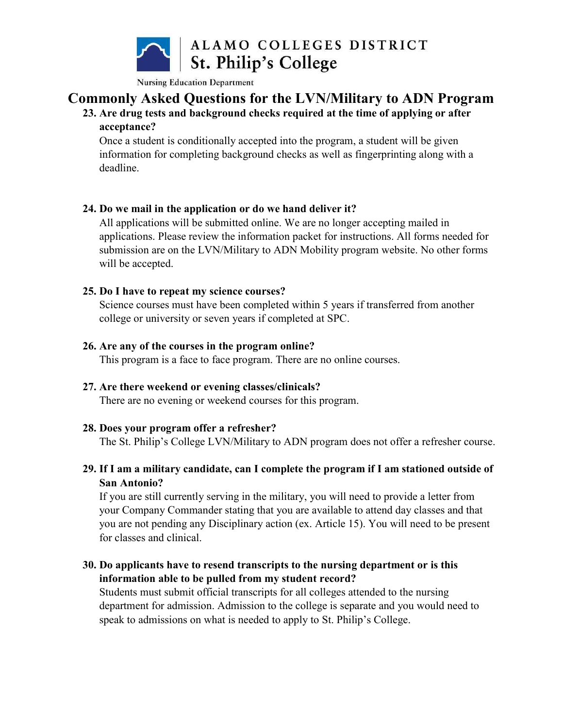

# Commonly Asked Questions for the LVN/Military to ADN Program

#### 23. Are drug tests and background checks required at the time of applying or after acceptance?

Once a student is conditionally accepted into the program, a student will be given information for completing background checks as well as fingerprinting along with a deadline.

#### 24. Do we mail in the application or do we hand deliver it?

All applications will be submitted online. We are no longer accepting mailed in applications. Please review the information packet for instructions. All forms needed for submission are on the LVN/Military to ADN Mobility program website. No other forms will be accepted.

#### 25. Do I have to repeat my science courses?

Science courses must have been completed within 5 years if transferred from another college or university or seven years if completed at SPC.

#### 26. Are any of the courses in the program online?

This program is a face to face program. There are no online courses.

#### 27. Are there weekend or evening classes/clinicals?

There are no evening or weekend courses for this program.

#### 28. Does your program offer a refresher?

The St. Philip's College LVN/Military to ADN program does not offer a refresher course.

### 29. If I am a military candidate, can I complete the program if I am stationed outside of San Antonio?

If you are still currently serving in the military, you will need to provide a letter from your Company Commander stating that you are available to attend day classes and that you are not pending any Disciplinary action (ex. Article 15). You will need to be present for classes and clinical.

### 30. Do applicants have to resend transcripts to the nursing department or is this information able to be pulled from my student record?

Students must submit official transcripts for all colleges attended to the nursing department for admission. Admission to the college is separate and you would need to speak to admissions on what is needed to apply to St. Philip's College.